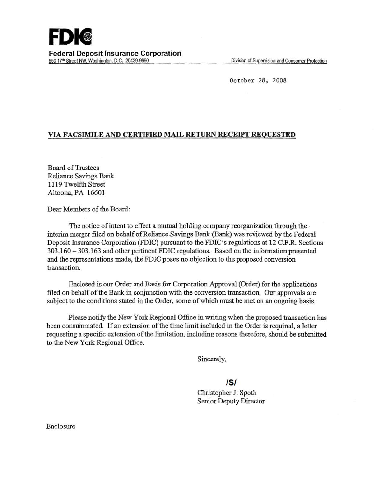October *28 ,* 2008

## VIA FACSIMILE AND CERTIFIED MAIL RETURN RECEIPT REQUESTED

Board of Trustees Reliance Savings Bank 1119 Twelfth Street Altoona, PA 16601

Dear Members of the Board:

The notice of intent to effect a mutual holding. company reorganization through the . interim merger filed on behalf of Reliance Savings Bank (Bank) was reviewed by the Federal Deposit Insurance Corporation (FDIC) pursuant to the FDIC's regulations at 12 C.F.R. Sections 303.160 - 303. 163 and other pertinent FDIC regulations. Based on the information presented and the representations made, the FDIC poses no objection to the proposed conversion transaction.

Enclosed is our Order and Basis for Corporation Approval (Order) for the applications filed on behalf of the Bank in conjunction with the conversion transaction. Our approvals are subject to the conditions stated in the Order, some of which must be met on an ongoing basis.

Please notify the New York Regional Office in writing when the proposed transaction has been consummated. If an extension of the time limit included in the Order is required, a letter requesting a specific extension of the limitation. including reasons therefore, should be submitted to the New York Regional Office.

Sincerely.

IS/

Christopher J. Spoth Senior Deputy Director

Enclosure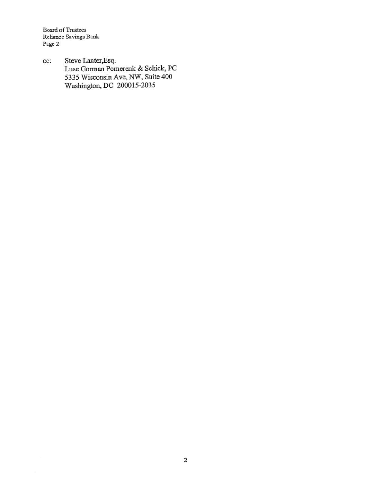Board of Trustees Reliance Savings Bank Page 2

cc: Steve Lanter,Esq. Luse Gorman Pomerenk & Schick, PC 5335 Wisconsin Ave, NW, Suite 400 Washington, DC 200015-2035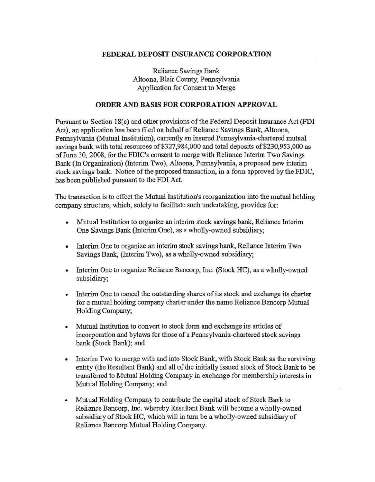## FEDERAL DEPOSIT INSURANCE CORPORATION

Reliance Savings Bank Altoona, Blair County, Pennsylvania Application for Consent to Merge

## ORDER AND BASIS FOR CORPORATION APPROVAL

Pursuant to Section 18(c) and other provisions of the Federal Deposit Insurance Act (FDI Act), an application has been filed on behalf of Reliance Savings Bank, Altoona, Pennsylvania (Mutual Institution), currently an insured Pennsylvania-chartered mutual savings bank with total resources of \$327,984,000 and total deposits of \$230,953,000 as of June 30, 2008, for the FDIC's consent to merge with Reliance Interim Two Savings Bank (In Organization) (Interim Two), Altoona, Pennsylvania, a proposed new interim stock savings bank. Notice of the proposed transaction, in a form approved by the FDIC, has been published pursuant to the FDI Act.

The transaction is to effect the Mutual Institution's reorganization into the mutual holding company structure, which, solely to facilitate such undertaking, provides for:

- Mutual Institution to organize an interim stock savings bank, Reliance Interim One Savings Bank (Interim One), as a wholly-owned subsidiary;
- Interim One to organize an interim stock savings bank, Reliance Interim Two Savings Bank, (Interim Two), as a wholly-owned subsidiary;
- Interim One to organize Reliance Bancorp, Inc. (Stock HC), as a wholly-owned subsidiary;
- Interim One to cancel the outstanding shares of its stock and exchange its charter for a mutual holding company charter under the name Reliance Bancorp Mutual Holding Company;
- Mutual Institution to convert to stock form and exchange its articles of incorporation and bylaws for those of a Pennsylvania-chartered stock savings bank (Stock Bank); and
- Interim Two to merge with and into Stock Bank, with Stock Bank as the surviving entity (the Resultant Bank) and all of the initially issued stock of Stock Bank to be transferred to Mutual Holding Company in exchange for membership interests in Mutual Holding Company; and
- Mutual Holding Company to contribute the capital stock of Stock Bank to Reliance Bancorp, Inc. whereby Resultant Bank will become a wholly-owned subsidiary of Stock HC, which will in turn be a wholly-owned subsidiary of Reliance Bancorp Mutual Holding Company.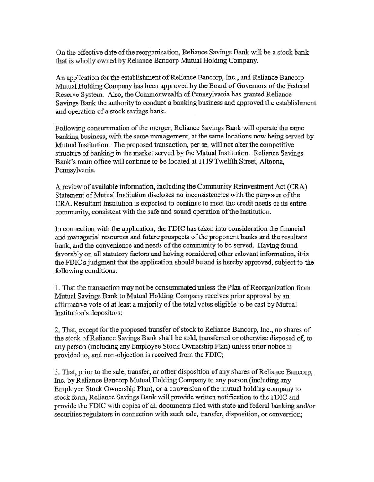On the effective date of the reorganization, Reliance Savings Bank will be a stock bank that is wholly owned by Reliance Bancorp Mutual Holding Company.

An application for the establishment of Reliance Bancorp, Inc., and Reliance Bancorp Mutual Holding Company has been approved by the Board of Governors of the Federal Reserve System. Also, the Commonwealth of Pennsylvania has granted Reliance Savings Bank the authority to conduct a banking business and approved the establishment and operation of a stock savings bank.

Following consummation of the merger, Reliance Savings Bank will operate the same banking business, with the same management, at the same locations now being served by Mutual Institution. The proposed transaction, per se, will not alter the competitive structure of banking in the market served by the Mutual Institution. Reliance Savings Bank's main office will continue to be located at 1119 Twelfth Street, Altoona, Pennsylvania.

A review of available information, including the Community Reinvestment Act (CRA) Statement of Mutual Institution discloses no inconsistencies with the purposes of the CRA. Resultant Institution is expected to continue. to meet the credit needs of its entite community, consistent with the safe and sound operation of the institution.

In connection with the application, the FDIC has taken into consideration the financial and managerial resources and future prospects of the proponent banks and the resultant bank, and the convenience and needs' of the community to be served. Having found favorably on all statutory factors and having considered other relevant information, it is the FDIC's judgment that the application should be and is hereby approved,\_ subject-to the following conditions:

1. That the transaction may not be consummated unless the Plan of Reorganization from Mutual Savings Bank to Mutual Holding Company receives prior approval by an affirmative vote of at least a majority of the total votes eligible to be cast by Mutual Institution's depositors:

2. That, except for the proposed transfer of stock to Reliance Bancorp, Inc., no shares of the stock ofReliance Savings Bank shall be sold, transferred or otherwise disposed of, to any person (including any Employee Stock Ownership Plan) unless prior notice is provided to, and non-objection is received from the FDIC;

3. That, prior to the sale, transfer, or other disposition of any shares of Reliance Bancorp, Inc. by Reliance Bancorp Mutual Holding Company to any person (including any Employee Stock Ownership Plan), or a conversion of the mutual holding company to stock form, Reliance Savings Bank will provide written notification to the FDIC and provide the FDIC with copies of all documents filed with state and federal banking and/or securities regulators in connection with such sale, transfer, disposition, or conversion;